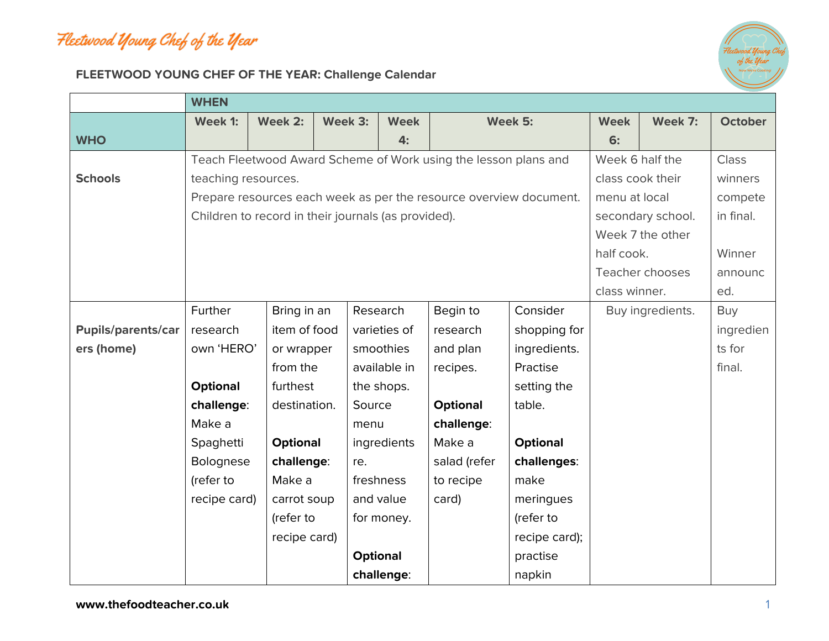## Fleetwood Young Chef of the Year



## **FLEETWOOD YOUNG CHEF OF THE YEAR: Challenge Calendar**

|                           | <b>WHEN</b>         |                                                                    |                   |                 |                 |                 |                  |                  |                |  |  |
|---------------------------|---------------------|--------------------------------------------------------------------|-------------------|-----------------|-----------------|-----------------|------------------|------------------|----------------|--|--|
|                           | Week 1:             | Week 2:                                                            | Week 3:           | <b>Week</b>     |                 | Week 5:         | <b>Week</b>      | Week 7:          | <b>October</b> |  |  |
| <b>WHO</b>                |                     |                                                                    |                   | 4:              |                 |                 | 6:               |                  |                |  |  |
|                           |                     | Teach Fleetwood Award Scheme of Work using the lesson plans and    | Week 6 half the   |                 | <b>Class</b>    |                 |                  |                  |                |  |  |
| <b>Schools</b>            | teaching resources. |                                                                    |                   |                 |                 |                 |                  | class cook their |                |  |  |
|                           |                     | Prepare resources each week as per the resource overview document. | menu at local     |                 | compete         |                 |                  |                  |                |  |  |
|                           |                     | Children to record in their journals (as provided).                | secondary school. |                 | in final.       |                 |                  |                  |                |  |  |
|                           |                     |                                                                    | Week 7 the other  |                 |                 |                 |                  |                  |                |  |  |
|                           |                     |                                                                    | half cook.        |                 | Winner          |                 |                  |                  |                |  |  |
|                           |                     |                                                                    | Teacher chooses   |                 | announc         |                 |                  |                  |                |  |  |
|                           |                     |                                                                    | class winner.     |                 | ed.             |                 |                  |                  |                |  |  |
|                           | Further             | Bring in an                                                        |                   | Research        | Begin to        | Consider        | Buy ingredients. |                  | Buy            |  |  |
| <b>Pupils/parents/car</b> | research            | item of food                                                       |                   | varieties of    | research        | shopping for    |                  |                  | ingredien      |  |  |
| ers (home)                | own 'HERO'          | or wrapper                                                         |                   | smoothies       | and plan        | ingredients.    |                  |                  | ts for         |  |  |
|                           |                     | from the                                                           |                   | available in    | recipes.        | Practise        |                  |                  | final.         |  |  |
|                           | <b>Optional</b>     | furthest                                                           |                   | the shops.      |                 | setting the     |                  |                  |                |  |  |
|                           | challenge:          | destination.                                                       | Source            |                 | <b>Optional</b> | table.          |                  |                  |                |  |  |
|                           | Make a              |                                                                    | menu              |                 | challenge:      |                 |                  |                  |                |  |  |
|                           | Spaghetti           | <b>Optional</b>                                                    |                   | ingredients     | Make a          | <b>Optional</b> |                  |                  |                |  |  |
|                           | <b>Bolognese</b>    | challenge:                                                         | re.               |                 | salad (refer    | challenges:     |                  |                  |                |  |  |
|                           | (refer to           | Make a                                                             |                   | freshness       | to recipe       | make            |                  |                  |                |  |  |
|                           | recipe card)        | carrot soup                                                        |                   | and value       | card)           | meringues       |                  |                  |                |  |  |
|                           |                     | (refer to                                                          |                   | for money.      |                 | (refer to       |                  |                  |                |  |  |
|                           |                     | recipe card)                                                       |                   |                 |                 | recipe card);   |                  |                  |                |  |  |
|                           |                     |                                                                    |                   | <b>Optional</b> |                 | practise        |                  |                  |                |  |  |
|                           |                     |                                                                    |                   | challenge:      |                 | napkin          |                  |                  |                |  |  |